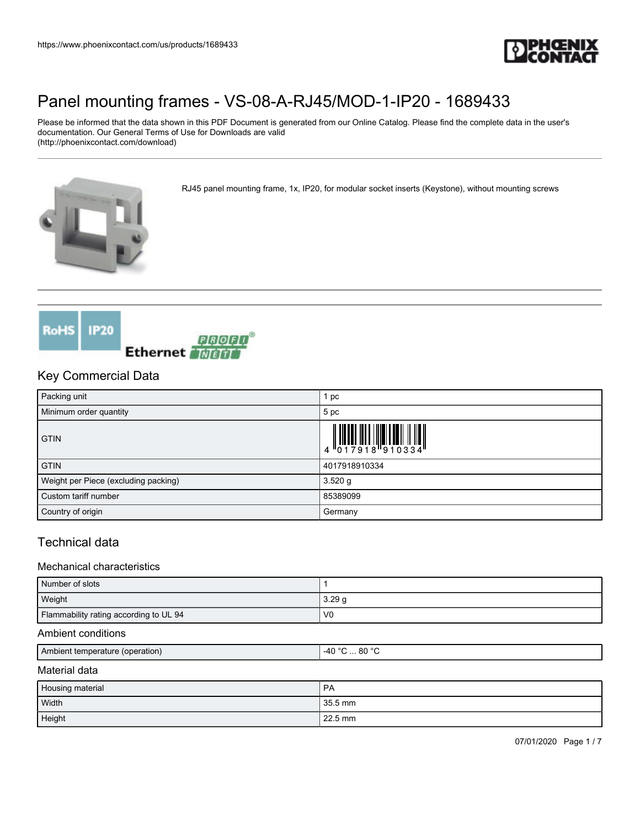

Please be informed that the data shown in this PDF Document is generated from our Online Catalog. Please find the complete data in the user's documentation. Our General Terms of Use for Downloads are valid (http://phoenixcontact.com/download)

RJ45 panel mounting frame, 1x, IP20, for modular socket inserts (Keystone), without mounting screws





### Key Commercial Data

| Packing unit                         | 1 pc                                                                                                                                                                                                                                                                                                                      |
|--------------------------------------|---------------------------------------------------------------------------------------------------------------------------------------------------------------------------------------------------------------------------------------------------------------------------------------------------------------------------|
| Minimum order quantity               | 5 pc                                                                                                                                                                                                                                                                                                                      |
| <b>GTIN</b>                          | $\begin{array}{c} 1 & 0 & 0 & 0 & 0 \\ 0 & 0 & 1 & 0 & 0 & 0 \\ 0 & 0 & 1 & 0 & 0 & 0 \\ 0 & 0 & 0 & 0 & 0 & 0 \\ 0 & 0 & 0 & 0 & 0 & 0 \\ 0 & 0 & 0 & 0 & 0 & 0 \\ 0 & 0 & 0 & 0 & 0 & 0 \\ 0 & 0 & 0 & 0 & 0 & 0 \\ 0 & 0 & 0 & 0 & 0 & 0 & 0 \\ 0 & 0 & 0 & 0 & 0 & 0 & 0 \\ 0 & 0 & 0 & 0 & 0 & 0 & 0 \\ 0 & 0 & 0 &$ |
| <b>GTIN</b>                          | 4017918910334                                                                                                                                                                                                                                                                                                             |
| Weight per Piece (excluding packing) | $3.520$ g                                                                                                                                                                                                                                                                                                                 |
| Custom tariff number                 | 85389099                                                                                                                                                                                                                                                                                                                  |
| Country of origin                    | Germany                                                                                                                                                                                                                                                                                                                   |

## Technical data

#### Mechanical characteristics

| Number of slots                        |                |
|----------------------------------------|----------------|
| Weight                                 | 3.29q          |
| Flammability rating according to UL 94 | V <sub>0</sub> |

#### Ambient conditions

| Ambient temperature (operation) | . 80 °C<br>AC<br>.<br>--- |
|---------------------------------|---------------------------|
|                                 |                           |

#### Material data

| Housing material | PA      |
|------------------|---------|
| Width            | 35.5 mm |
| Height           | 22.5 mm |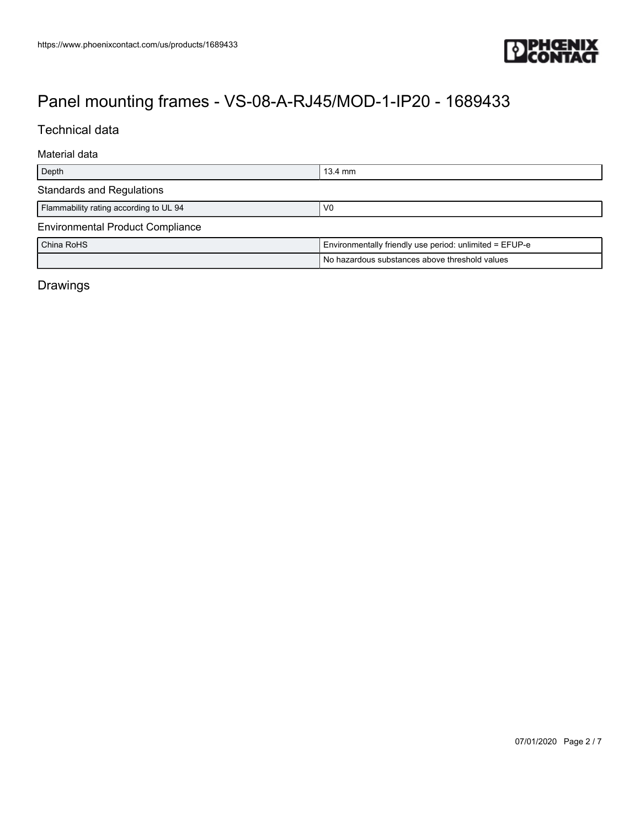

## Technical data

#### Material data

| Depth                                   | $13.4 \text{ mm}$                                       |
|-----------------------------------------|---------------------------------------------------------|
| <b>Standards and Regulations</b>        |                                                         |
| Flammability rating according to UL 94  | V0                                                      |
| <b>Environmental Product Compliance</b> |                                                         |
| China RoHS                              | Environmentally friendly use period: unlimited = EFUP-e |
|                                         | No hazardous substances above threshold values          |

## Drawings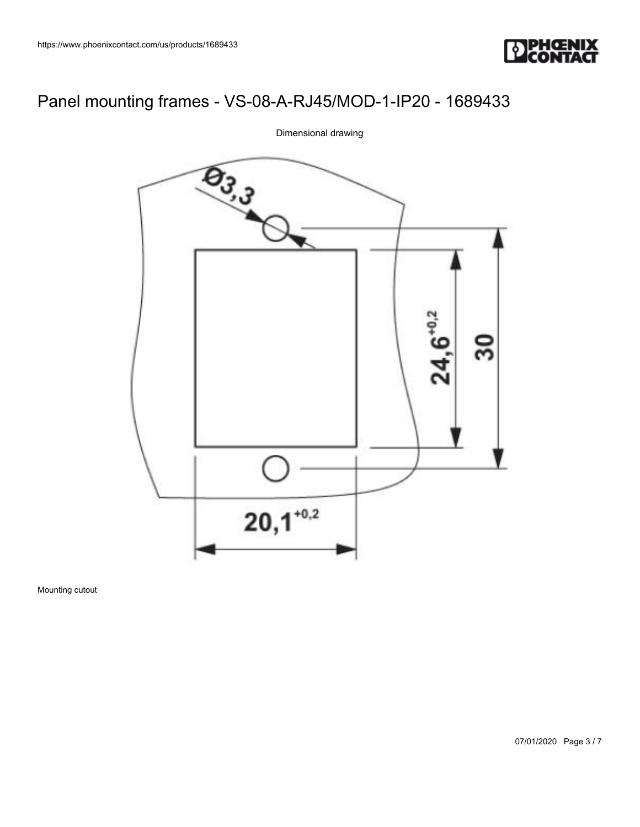



Dimensional drawing

Mounting cutout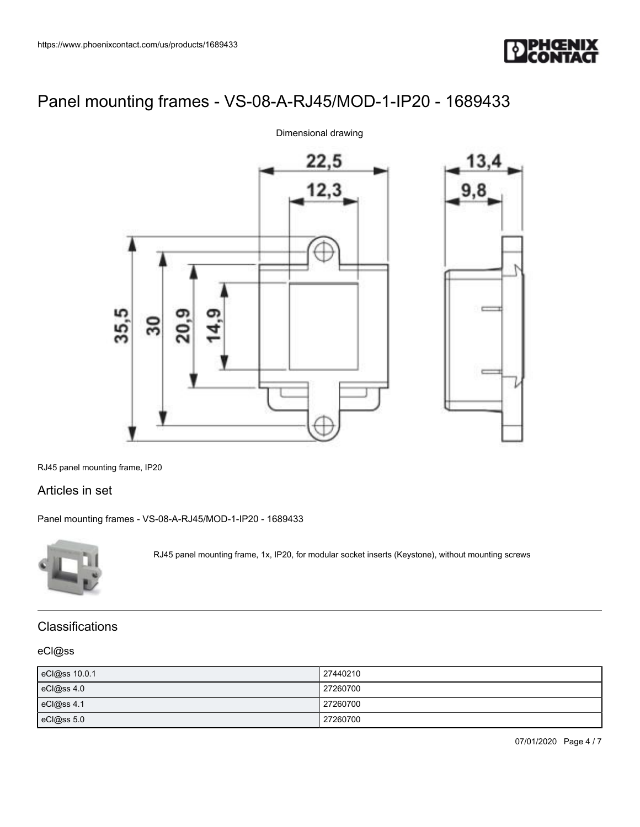



Dimensional drawing

RJ45 panel mounting frame, IP20

### Articles in set

[Panel mounting frames - VS-08-A-RJ45/MOD-1-IP20 - 1689433](https://www.phoenixcontact.com/us/products/1689433)



RJ45 panel mounting frame, 1x, IP20, for modular socket inserts (Keystone), without mounting screws

### **Classifications**

#### eCl@ss

| eCl@ss 10.0.1 | 27440210 |
|---------------|----------|
| eCl@ss 4.0    | 27260700 |
| eCl@ss 4.1    | 27260700 |
| eCl@ss 5.0    | 27260700 |

07/01/2020 Page 4 / 7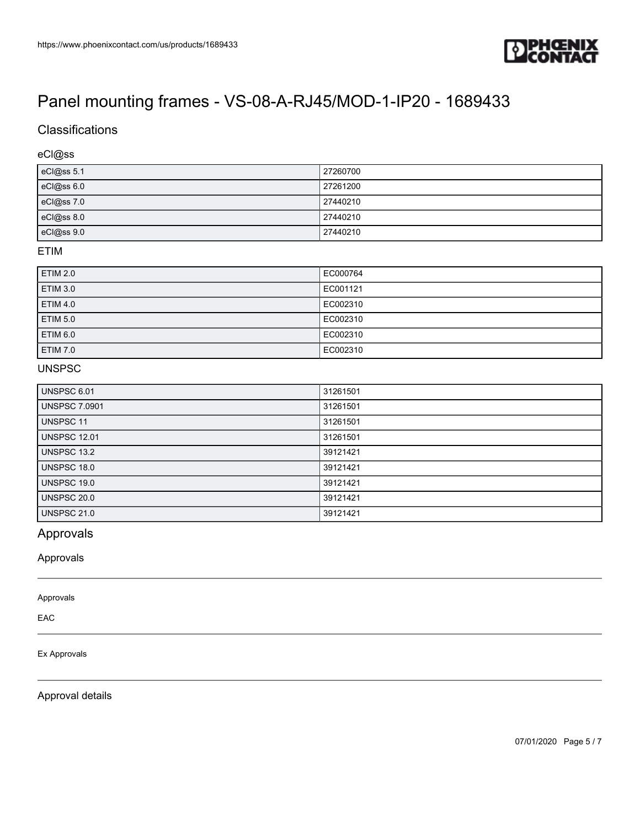

# **Classifications**

#### eCl@ss

| eCl@ss 5.1   | 27260700 |
|--------------|----------|
| eCl@ss 6.0   | 27261200 |
| $eCl@ss$ 7.0 | 27440210 |
| eCl@ss 8.0   | 27440210 |
| eCl@ss 9.0   | 27440210 |

#### ETIM

| <b>ETIM 2.0</b> | EC000764 |
|-----------------|----------|
| <b>ETIM 3.0</b> | EC001121 |
| <b>ETIM 4.0</b> | EC002310 |
| <b>ETIM 5.0</b> | EC002310 |
| ETIM 6.0        | EC002310 |
| <b>ETIM 7.0</b> | EC002310 |

### UNSPSC

| UNSPSC 6.01          | 31261501 |
|----------------------|----------|
| <b>UNSPSC 7.0901</b> | 31261501 |
| UNSPSC 11            | 31261501 |
| <b>UNSPSC 12.01</b>  | 31261501 |
| <b>UNSPSC 13.2</b>   | 39121421 |
| <b>UNSPSC 18.0</b>   | 39121421 |
| <b>UNSPSC 19.0</b>   | 39121421 |
| <b>UNSPSC 20.0</b>   | 39121421 |
| <b>UNSPSC 21.0</b>   | 39121421 |

## Approvals

Approvals

Approvals

EAC

#### Ex Approvals

Approval details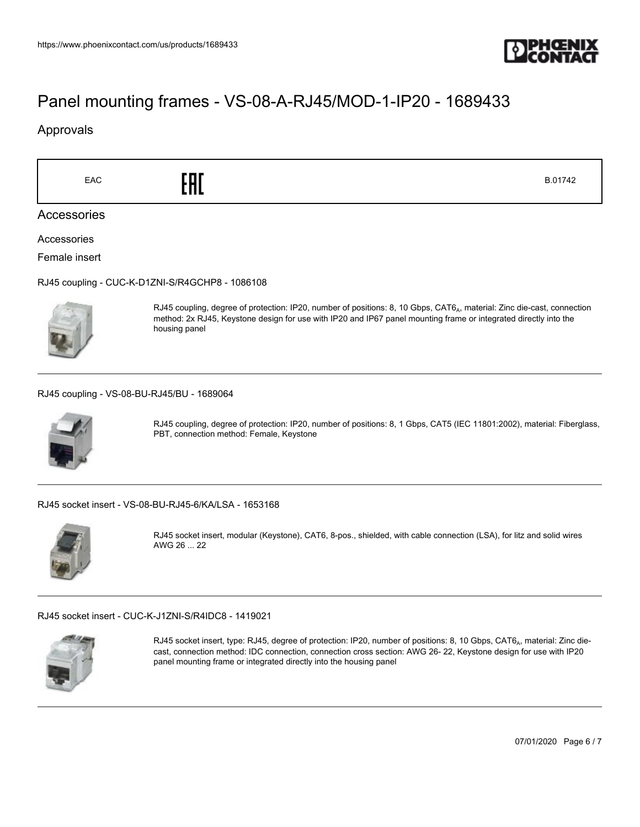

### Approvals

 $\begin{array}{ccc} \text{E.} & \bullet & \bullet & \bullet \\ \text{E.} & \bullet & \bullet & \bullet & \bullet \end{array}$ 

Accessories

Accessories

Female insert

[RJ45 coupling - CUC-K-D1ZNI-S/R4GCHP8 - 1086108](https://www.phoenixcontact.com/us/products/1086108)



RJ45 coupling, degree of protection: IP20, number of positions: 8, 10 Gbps, CAT6<sub>A</sub>, material: Zinc die-cast, connection method: 2x RJ45, Keystone design for use with IP20 and IP67 panel mounting frame or integrated directly into the housing panel

[RJ45 coupling - VS-08-BU-RJ45/BU - 1689064](https://www.phoenixcontact.com/us/products/1689064)



RJ45 coupling, degree of protection: IP20, number of positions: 8, 1 Gbps, CAT5 (IEC 11801:2002), material: Fiberglass, PBT, connection method: Female, Keystone

[RJ45 socket insert - VS-08-BU-RJ45-6/KA/LSA - 1653168](https://www.phoenixcontact.com/us/products/1653168)



RJ45 socket insert, modular (Keystone), CAT6, 8-pos., shielded, with cable connection (LSA), for litz and solid wires AWG 26 ... 22

[RJ45 socket insert - CUC-K-J1ZNI-S/R4IDC8 - 1419021](https://www.phoenixcontact.com/us/products/1419021)



RJ45 socket insert, type: RJ45, degree of protection: IP20, number of positions: 8, 10 Gbps, CAT6<sub>A</sub>, material: Zinc diecast, connection method: IDC connection, connection cross section: AWG 26- 22, Keystone design for use with IP20 panel mounting frame or integrated directly into the housing panel